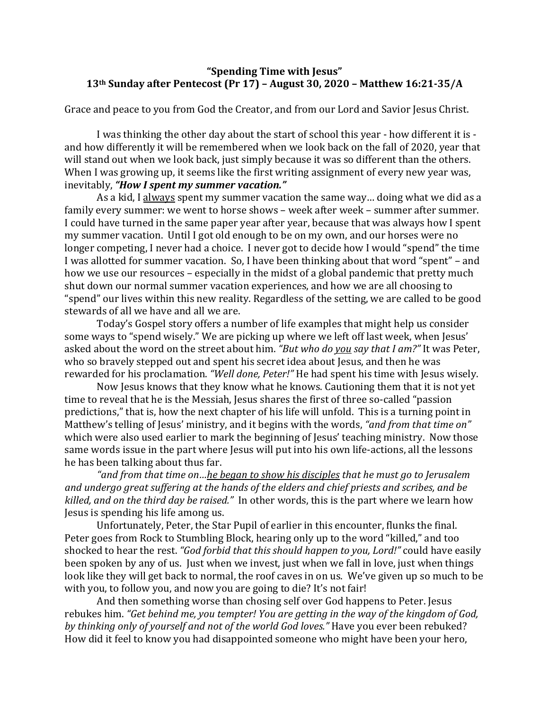## **"Spending Time with Jesus" 13th Sunday after Pentecost (Pr 17) – August 30, 2020 – Matthew 16:21-35/A**

Grace and peace to you from God the Creator, and from our Lord and Savior Jesus Christ.

I was thinking the other day about the start of school this year - how different it is and how differently it will be remembered when we look back on the fall of 2020, year that will stand out when we look back, just simply because it was so different than the others. When I was growing up, it seems like the first writing assignment of every new year was, inevitably, "**How I spent my summer vacation."** 

As a kid, I always spent my summer vacation the same way... doing what we did as a family every summer: we went to horse shows - week after week - summer after summer. I could have turned in the same paper year after year, because that was always how I spent my summer vacation. Until I got old enough to be on my own, and our horses were no longer competing, I never had a choice. I never got to decide how I would "spend" the time I was allotted for summer vacation. So, I have been thinking about that word "spent" - and how we use our resources – especially in the midst of a global pandemic that pretty much shut down our normal summer vacation experiences, and how we are all choosing to "spend" our lives within this new reality. Regardless of the setting, we are called to be good stewards of all we have and all we are.

Today's Gospel story offers a number of life examples that might help us consider some ways to "spend wisely." We are picking up where we left off last week, when Jesus' asked about the word on the street about him. "But who do you say that I am?" It was Peter, who so bravely stepped out and spent his secret idea about Jesus, and then he was rewarded for his proclamation. "Well done, Peter!" He had spent his time with Jesus wisely.

Now Jesus knows that they know what he knows. Cautioning them that it is not yet time to reveal that he is the Messiah, Jesus shares the first of three so-called "passion predictions," that is, how the next chapter of his life will unfold. This is a turning point in Matthew's telling of Jesus' ministry, and it begins with the words, "and from that time on" which were also used earlier to mark the beginning of Jesus' teaching ministry. Now those same words issue in the part where Jesus will put into his own life-actions, all the lessons he has been talking about thus far.

"and from that time on...<u>he began to show his disciples</u> that he must go to Jerusalem and undergo great suffering at the hands of the elders and chief priests and scribes, and be *killed, and on the third day be raised.*" In other words, this is the part where we learn how Jesus is spending his life among us.

Unfortunately, Peter, the Star Pupil of earlier in this encounter, flunks the final. Peter goes from Rock to Stumbling Block, hearing only up to the word "killed," and too shocked to hear the rest. *"God forbid that this should happen to you, Lord!"* could have easily been spoken by any of us. Just when we invest, just when we fall in love, just when things look like they will get back to normal, the roof caves in on us. We've given up so much to be with you, to follow you, and now you are going to die? It's not fair!

And then something worse than chosing self over God happens to Peter. Jesus rebukes him. "Get behind me, you tempter! You are getting in the way of the kingdom of God, *by thinking only of yourself and not of the world God loves."* Have you ever been rebuked? How did it feel to know you had disappointed someone who might have been your hero,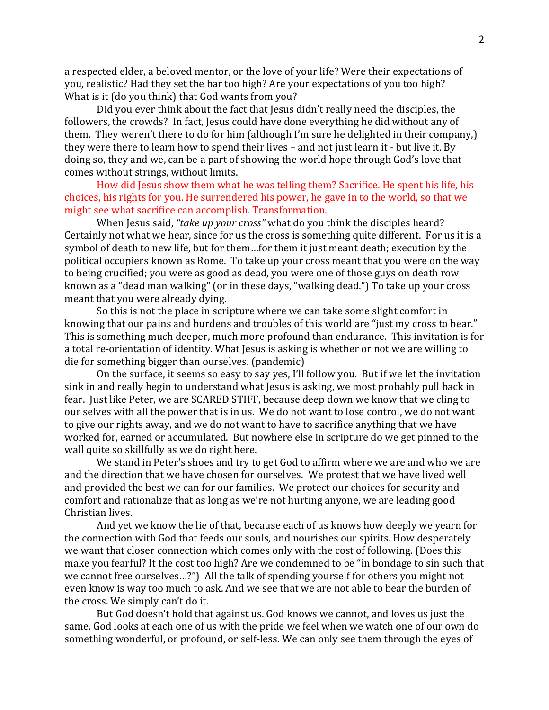a respected elder, a beloved mentor, or the love of your life? Were their expectations of you, realistic? Had they set the bar too high? Are your expectations of you too high? What is it (do you think) that God wants from you?

Did you ever think about the fact that Jesus didn't really need the disciples, the followers, the crowds? In fact, Jesus could have done everything he did without any of them. They weren't there to do for him (although I'm sure he delighted in their company,) they were there to learn how to spend their lives - and not just learn it - but live it. By doing so, they and we, can be a part of showing the world hope through God's love that comes without strings, without limits.

How did Jesus show them what he was telling them? Sacrifice. He spent his life, his choices, his rights for you. He surrendered his power, he gave in to the world, so that we might see what sacrifice can accomplish. Transformation.

When Jesus said, "take up your cross" what do you think the disciples heard? Certainly not what we hear, since for us the cross is something quite different. For us it is a symbol of death to new life, but for them...for them it just meant death; execution by the political occupiers known as Rome. To take up your cross meant that you were on the way to being crucified; you were as good as dead, you were one of those guys on death row known as a "dead man walking" (or in these days, "walking dead.") To take up your cross meant that you were already dying.

So this is not the place in scripture where we can take some slight comfort in knowing that our pains and burdens and troubles of this world are "just my cross to bear." This is something much deeper, much more profound than endurance. This invitation is for a total re-orientation of identity. What Jesus is asking is whether or not we are willing to die for something bigger than ourselves. (pandemic)

On the surface, it seems so easy to say yes, I'll follow you. But if we let the invitation sink in and really begin to understand what Jesus is asking, we most probably pull back in fear. Just like Peter, we are SCARED STIFF, because deep down we know that we cling to our selves with all the power that is in us. We do not want to lose control, we do not want to give our rights away, and we do not want to have to sacrifice anything that we have worked for, earned or accumulated. But nowhere else in scripture do we get pinned to the wall quite so skillfully as we do right here.

We stand in Peter's shoes and try to get God to affirm where we are and who we are and the direction that we have chosen for ourselves. We protest that we have lived well and provided the best we can for our families. We protect our choices for security and comfort and rationalize that as long as we're not hurting anyone, we are leading good Christian lives.

And yet we know the lie of that, because each of us knows how deeply we yearn for the connection with God that feeds our souls, and nourishes our spirits. How desperately we want that closer connection which comes only with the cost of following. (Does this make you fearful? It the cost too high? Are we condemned to be "in bondage to sin such that we cannot free ourselves...?") All the talk of spending yourself for others you might not even know is way too much to ask. And we see that we are not able to bear the burden of the cross. We simply can't do it.

But God doesn't hold that against us. God knows we cannot, and loves us just the same. God looks at each one of us with the pride we feel when we watch one of our own do something wonderful, or profound, or self-less. We can only see them through the eyes of